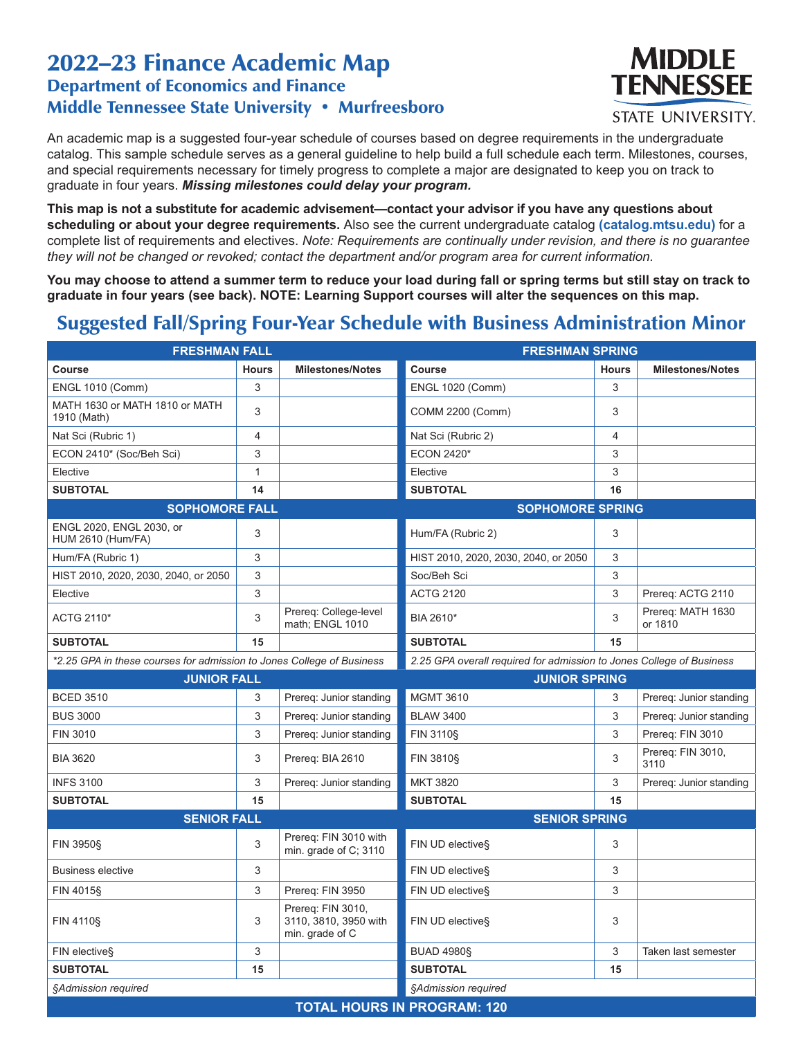## 2022–23 Finance Academic Map Department of Economics and Finance Middle Tennessee State University • Murfreesboro



**STATE UNIVERSITY.** 

An academic map is a suggested four-year schedule of courses based on degree requirements in the undergraduate catalog. This sample schedule serves as a general guideline to help build a full schedule each term. Milestones, courses, and special requirements necessary for timely progress to complete a major are designated to keep you on track to graduate in four years. *Missing milestones could delay your program.*

**This map is not a substitute for academic advisement—contact your advisor if you have any questions about scheduling or about your degree requirements.** Also see the current undergraduate catalog **(catalog.mtsu.edu)** for a complete list of requirements and electives. *Note: Requirements are continually under revision, and there is no guarantee they will not be changed or revoked; contact the department and/or program area for current information.*

**You may choose to attend a summer term to reduce your load during fall or spring terms but still stay on track to graduate in four years (see back). NOTE: Learning Support courses will alter the sequences on this map.**

## Suggested Fall/Spring Four-Year Schedule with Business Administration Minor

| <b>FRESHMAN FALL</b>                                                  |              | <b>FRESHMAN SPRING</b>                                        |                                                                      |              |                              |
|-----------------------------------------------------------------------|--------------|---------------------------------------------------------------|----------------------------------------------------------------------|--------------|------------------------------|
| Course                                                                | <b>Hours</b> | <b>Milestones/Notes</b>                                       | <b>Course</b>                                                        | <b>Hours</b> | <b>Milestones/Notes</b>      |
| <b>ENGL 1010 (Comm)</b>                                               | 3            |                                                               | <b>ENGL 1020 (Comm)</b>                                              | 3            |                              |
| MATH 1630 or MATH 1810 or MATH<br>1910 (Math)                         | 3            |                                                               | COMM 2200 (Comm)                                                     | 3            |                              |
| Nat Sci (Rubric 1)                                                    | 4            |                                                               | Nat Sci (Rubric 2)                                                   | 4            |                              |
| ECON 2410* (Soc/Beh Sci)                                              | 3            |                                                               | <b>ECON 2420*</b>                                                    | 3            |                              |
| Elective                                                              | $\mathbf{1}$ |                                                               | Elective                                                             | 3            |                              |
| <b>SUBTOTAL</b>                                                       | 14           |                                                               | <b>SUBTOTAL</b>                                                      | 16           |                              |
| <b>SOPHOMORE FALL</b>                                                 |              |                                                               | <b>SOPHOMORE SPRING</b>                                              |              |                              |
| ENGL 2020, ENGL 2030, or<br><b>HUM 2610 (Hum/FA)</b>                  | 3            |                                                               | Hum/FA (Rubric 2)                                                    | 3            |                              |
| Hum/FA (Rubric 1)                                                     | 3            |                                                               | HIST 2010, 2020, 2030, 2040, or 2050                                 | 3            |                              |
| HIST 2010, 2020, 2030, 2040, or 2050                                  | 3            |                                                               | Soc/Beh Sci                                                          | 3            |                              |
| Elective                                                              | 3            |                                                               | <b>ACTG 2120</b>                                                     | 3            | Prereq: ACTG 2110            |
| ACTG 2110*                                                            | 3            | Prereq: College-level<br>math; ENGL 1010                      | BIA 2610*                                                            | 3            | Prereq: MATH 1630<br>or 1810 |
| <b>SUBTOTAL</b>                                                       | 15           |                                                               | <b>SUBTOTAL</b>                                                      | 15           |                              |
| *2.25 GPA in these courses for admission to Jones College of Business |              |                                                               | 2.25 GPA overall required for admission to Jones College of Business |              |                              |
| <b>JUNIOR FALL</b>                                                    |              |                                                               | <b>JUNIOR SPRING</b>                                                 |              |                              |
| <b>BCED 3510</b>                                                      | 3            | Prereq: Junior standing                                       | <b>MGMT 3610</b>                                                     | 3            | Prereq: Junior standing      |
| <b>BUS 3000</b>                                                       | 3            | Prereg: Junior standing                                       | <b>BLAW 3400</b>                                                     | 3            | Prereg: Junior standing      |
| FIN 3010                                                              | 3            | Prereg: Junior standing                                       | <b>FIN 3110§</b>                                                     | 3            | Prereq: FIN 3010             |
| <b>BIA 3620</b>                                                       | 3            | Prereq: BIA 2610                                              | <b>FIN 3810§</b>                                                     | 3            | Prereg: FIN 3010,<br>3110    |
| <b>INFS 3100</b>                                                      | 3            | Prereg: Junior standing                                       | <b>MKT 3820</b>                                                      | 3            | Prereq: Junior standing      |
| <b>SUBTOTAL</b>                                                       | 15           |                                                               | <b>SUBTOTAL</b>                                                      | 15           |                              |
| <b>SENIOR FALL</b>                                                    |              |                                                               | <b>SENIOR SPRING</b>                                                 |              |                              |
| <b>FIN 3950§</b>                                                      | 3            | Prereg: FIN 3010 with<br>min. grade of C; 3110                | FIN UD elective§                                                     | 3            |                              |
| <b>Business elective</b>                                              | 3            |                                                               | FIN UD elective§                                                     | 3            |                              |
| FIN 4015§                                                             | 3            | Prereq: FIN 3950                                              | FIN UD elective§                                                     | 3            |                              |
| <b>FIN 4110§</b>                                                      | 3            | Prereq: FIN 3010,<br>3110, 3810, 3950 with<br>min. grade of C | FIN UD elective§                                                     | 3            |                              |
| FIN elective§                                                         | 3            |                                                               | <b>BUAD 4980§</b>                                                    | 3            | Taken last semester          |
| <b>SUBTOTAL</b>                                                       | 15           |                                                               | <b>SUBTOTAL</b>                                                      | 15           |                              |
| §Admission required                                                   |              |                                                               | §Admission required                                                  |              |                              |
|                                                                       |              |                                                               | <b>TOTAL HOURS IN PROGRAM: 120</b>                                   |              |                              |